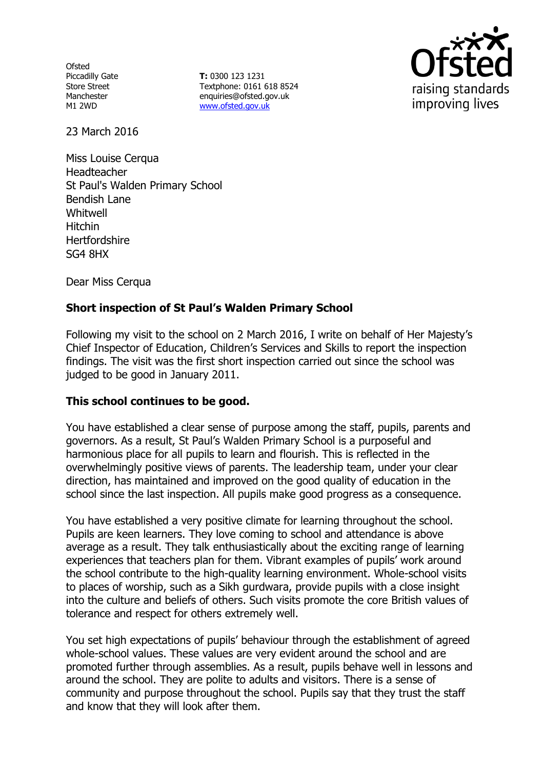**Ofsted** Piccadilly Gate Store Street Manchester M1 2WD

**T:** 0300 123 1231 Textphone: 0161 618 8524 enquiries@ofsted.gov.uk www.ofsted.gov.uk



23 March 2016

Miss Louise Cerqua Headteacher St Paul's Walden Primary School Bendish Lane Whitwell Hitchin **Hertfordshire** SG4 8HX

Dear Miss Cerqua

# **Short inspection of St Paul's Walden Primary School**

Following my visit to the school on 2 March 2016, I write on behalf of Her Majesty's Chief Inspector of Education, Children's Services and Skills to report the inspection findings. The visit was the first short inspection carried out since the school was judged to be good in January 2011.

## **This school continues to be good.**

You have established a clear sense of purpose among the staff, pupils, parents and governors. As a result, St Paul's Walden Primary School is a purposeful and harmonious place for all pupils to learn and flourish. This is reflected in the overwhelmingly positive views of parents. The leadership team, under your clear direction, has maintained and improved on the good quality of education in the school since the last inspection. All pupils make good progress as a consequence.

You have established a very positive climate for learning throughout the school. Pupils are keen learners. They love coming to school and attendance is above average as a result. They talk enthusiastically about the exciting range of learning experiences that teachers plan for them. Vibrant examples of pupils' work around the school contribute to the high-quality learning environment. Whole-school visits to places of worship, such as a Sikh gurdwara, provide pupils with a close insight into the culture and beliefs of others. Such visits promote the core British values of tolerance and respect for others extremely well.

You set high expectations of pupils' behaviour through the establishment of agreed whole-school values. These values are very evident around the school and are promoted further through assemblies. As a result, pupils behave well in lessons and around the school. They are polite to adults and visitors. There is a sense of community and purpose throughout the school. Pupils say that they trust the staff and know that they will look after them.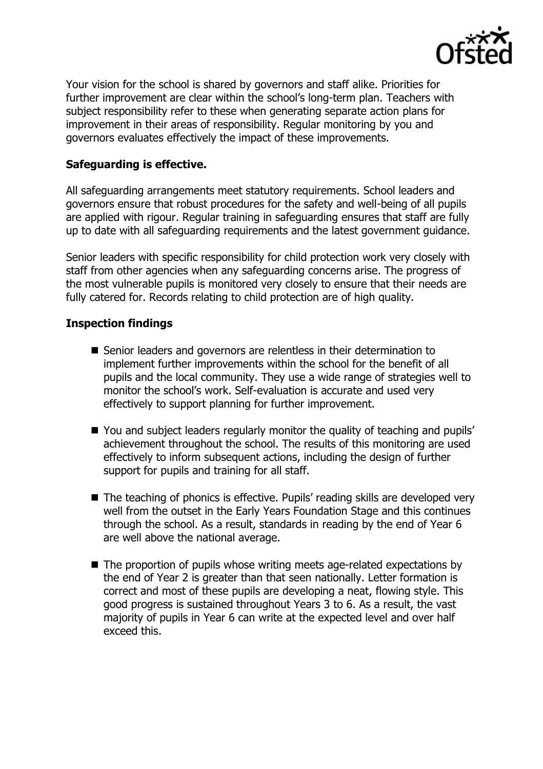

Your vision for the school is shared by governors and staff alike. Priorities for further improvement are clear within the school's long-term plan. Teachers with subject responsibility refer to these when generating separate action plans for improvement in their areas of responsibility. Regular monitoring by you and governors evaluates effectively the impact of these improvements.

### **Safeguarding is effective.**

All safeguarding arrangements meet statutory requirements. School leaders and governors ensure that robust procedures for the safety and well-being of all pupils are applied with rigour. Regular training in safeguarding ensures that staff are fully up to date with all safeguarding requirements and the latest government guidance.

Senior leaders with specific responsibility for child protection work very closely with staff from other agencies when any safeguarding concerns arise. The progress of the most vulnerable pupils is monitored very closely to ensure that their needs are fully catered for. Records relating to child protection are of high quality.

### **Inspection findings**

- Senior leaders and governors are relentless in their determination to implement further improvements within the school for the benefit of all pupils and the local community. They use a wide range of strategies well to monitor the school's work. Self-evaluation is accurate and used very effectively to support planning for further improvement.
- You and subject leaders regularly monitor the quality of teaching and pupils' achievement throughout the school. The results of this monitoring are used effectively to inform subsequent actions, including the design of further support for pupils and training for all staff.
- The teaching of phonics is effective. Pupils' reading skills are developed very well from the outset in the Early Years Foundation Stage and this continues through the school. As a result, standards in reading by the end of Year 6 are well above the national average.
- The proportion of pupils whose writing meets age-related expectations by the end of Year 2 is greater than that seen nationally. Letter formation is correct and most of these pupils are developing a neat, flowing style. This good progress is sustained throughout Years 3 to 6. As a result, the vast majority of pupils in Year 6 can write at the expected level and over half exceed this.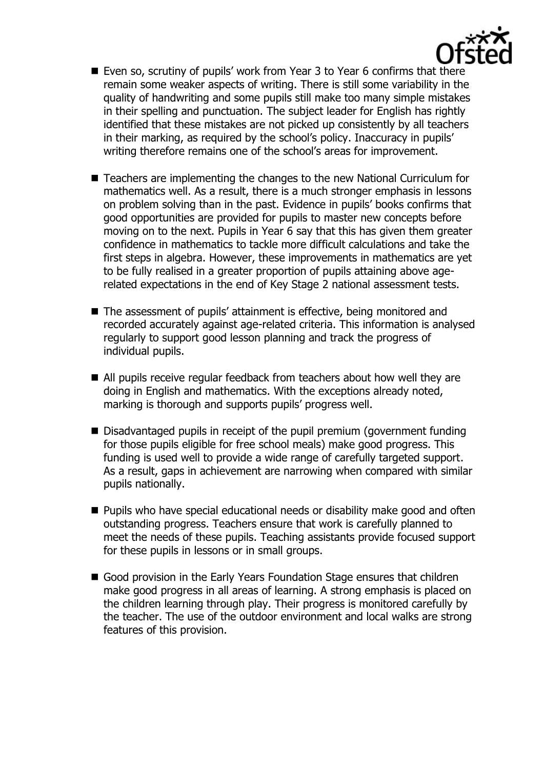

- Even so, scrutiny of pupils' work from Year 3 to Year 6 confirms that there remain some weaker aspects of writing. There is still some variability in the quality of handwriting and some pupils still make too many simple mistakes in their spelling and punctuation. The subject leader for English has rightly identified that these mistakes are not picked up consistently by all teachers in their marking, as required by the school's policy. Inaccuracy in pupils' writing therefore remains one of the school's areas for improvement.
- Teachers are implementing the changes to the new National Curriculum for mathematics well. As a result, there is a much stronger emphasis in lessons on problem solving than in the past. Evidence in pupils' books confirms that good opportunities are provided for pupils to master new concepts before moving on to the next. Pupils in Year 6 say that this has given them greater confidence in mathematics to tackle more difficult calculations and take the first steps in algebra. However, these improvements in mathematics are yet to be fully realised in a greater proportion of pupils attaining above agerelated expectations in the end of Key Stage 2 national assessment tests.
- The assessment of pupils' attainment is effective, being monitored and recorded accurately against age-related criteria. This information is analysed regularly to support good lesson planning and track the progress of individual pupils.
- All pupils receive regular feedback from teachers about how well they are doing in English and mathematics. With the exceptions already noted, marking is thorough and supports pupils' progress well.
- Disadvantaged pupils in receipt of the pupil premium (government funding for those pupils eligible for free school meals) make good progress. This funding is used well to provide a wide range of carefully targeted support. As a result, gaps in achievement are narrowing when compared with similar pupils nationally.
- **Pupils who have special educational needs or disability make good and often** outstanding progress. Teachers ensure that work is carefully planned to meet the needs of these pupils. Teaching assistants provide focused support for these pupils in lessons or in small groups.
- Good provision in the Early Years Foundation Stage ensures that children make good progress in all areas of learning. A strong emphasis is placed on the children learning through play. Their progress is monitored carefully by the teacher. The use of the outdoor environment and local walks are strong features of this provision.